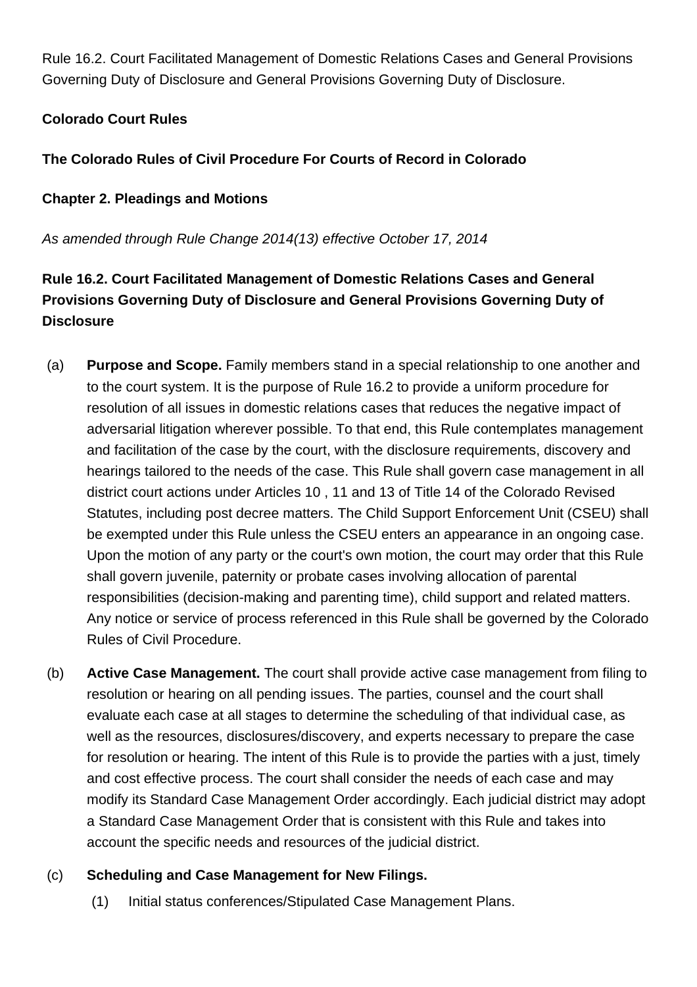Rule 16.2. Court Facilitated Management of Domestic Relations Cases and General Provisions Governing Duty of Disclosure and General Provisions Governing Duty of Disclosure.

## **Colorado Court Rules**

## **The Colorado Rules of Civil Procedure For Courts of Record in Colorado**

### **Chapter 2. Pleadings and Motions**

As amended through Rule Change 2014(13) effective October 17, 2014

# **Rule 16.2. Court Facilitated Management of Domestic Relations Cases and General Provisions Governing Duty of Disclosure and General Provisions Governing Duty of Disclosure**

- (a) **Purpose and Scope.** Family members stand in a special relationship to one another and to the court system. It is the purpose of Rule 16.2 to provide a uniform procedure for resolution of all issues in domestic relations cases that reduces the negative impact of adversarial litigation wherever possible. To that end, this Rule contemplates management and facilitation of the case by the court, with the disclosure requirements, discovery and hearings tailored to the needs of the case. This Rule shall govern case management in all district court actions under Articles 10 , 11 and 13 of Title 14 of the Colorado Revised Statutes, including post decree matters. The Child Support Enforcement Unit (CSEU) shall be exempted under this Rule unless the CSEU enters an appearance in an ongoing case. Upon the motion of any party or the court's own motion, the court may order that this Rule shall govern juvenile, paternity or probate cases involving allocation of parental responsibilities (decision-making and parenting time), child support and related matters. Any notice or service of process referenced in this Rule shall be governed by the Colorado Rules of Civil Procedure.
- (b) **Active Case Management.** The court shall provide active case management from filing to resolution or hearing on all pending issues. The parties, counsel and the court shall evaluate each case at all stages to determine the scheduling of that individual case, as well as the resources, disclosures/discovery, and experts necessary to prepare the case for resolution or hearing. The intent of this Rule is to provide the parties with a just, timely and cost effective process. The court shall consider the needs of each case and may modify its Standard Case Management Order accordingly. Each judicial district may adopt a Standard Case Management Order that is consistent with this Rule and takes into account the specific needs and resources of the judicial district.

### (c) **Scheduling and Case Management for New Filings.**

(1) Initial status conferences/Stipulated Case Management Plans.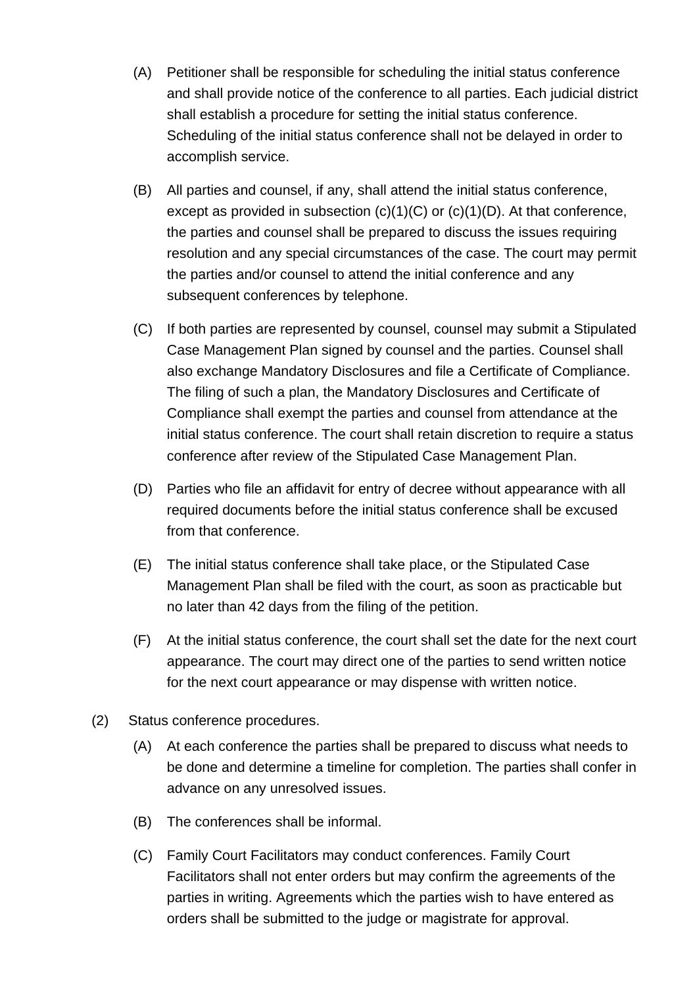- (A) Petitioner shall be responsible for scheduling the initial status conference and shall provide notice of the conference to all parties. Each judicial district shall establish a procedure for setting the initial status conference. Scheduling of the initial status conference shall not be delayed in order to accomplish service.
- (B) All parties and counsel, if any, shall attend the initial status conference, except as provided in subsection  $(c)(1)(C)$  or  $(c)(1)(D)$ . At that conference, the parties and counsel shall be prepared to discuss the issues requiring resolution and any special circumstances of the case. The court may permit the parties and/or counsel to attend the initial conference and any subsequent conferences by telephone.
- (C) If both parties are represented by counsel, counsel may submit a Stipulated Case Management Plan signed by counsel and the parties. Counsel shall also exchange Mandatory Disclosures and file a Certificate of Compliance. The filing of such a plan, the Mandatory Disclosures and Certificate of Compliance shall exempt the parties and counsel from attendance at the initial status conference. The court shall retain discretion to require a status conference after review of the Stipulated Case Management Plan.
- (D) Parties who file an affidavit for entry of decree without appearance with all required documents before the initial status conference shall be excused from that conference.
- (E) The initial status conference shall take place, or the Stipulated Case Management Plan shall be filed with the court, as soon as practicable but no later than 42 days from the filing of the petition.
- (F) At the initial status conference, the court shall set the date for the next court appearance. The court may direct one of the parties to send written notice for the next court appearance or may dispense with written notice.
- (2) Status conference procedures.
	- (A) At each conference the parties shall be prepared to discuss what needs to be done and determine a timeline for completion. The parties shall confer in advance on any unresolved issues.
	- (B) The conferences shall be informal.
	- (C) Family Court Facilitators may conduct conferences. Family Court Facilitators shall not enter orders but may confirm the agreements of the parties in writing. Agreements which the parties wish to have entered as orders shall be submitted to the judge or magistrate for approval.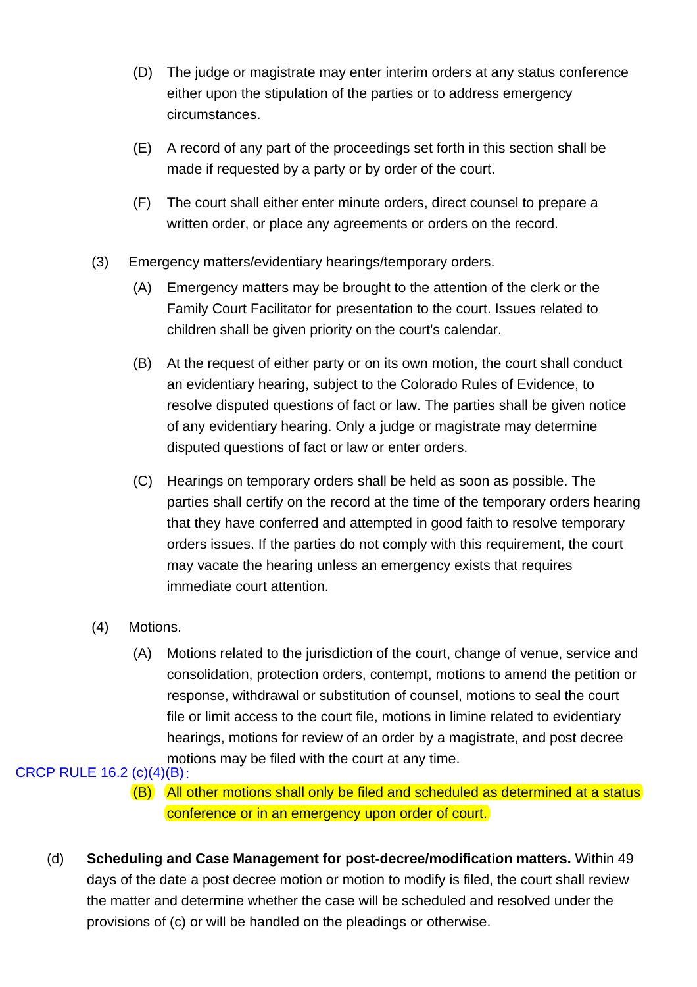- (D) The judge or magistrate may enter interim orders at any status conference either upon the stipulation of the parties or to address emergency circumstances.
- (E) A record of any part of the proceedings set forth in this section shall be made if requested by a party or by order of the court.
- (F) The court shall either enter minute orders, direct counsel to prepare a written order, or place any agreements or orders on the record.
- (3) Emergency matters/evidentiary hearings/temporary orders.
	- (A) Emergency matters may be brought to the attention of the clerk or the Family Court Facilitator for presentation to the court. Issues related to children shall be given priority on the court's calendar.
	- (B) At the request of either party or on its own motion, the court shall conduct an evidentiary hearing, subject to the Colorado Rules of Evidence, to resolve disputed questions of fact or law. The parties shall be given notice of any evidentiary hearing. Only a judge or magistrate may determine disputed questions of fact or law or enter orders.
	- (C) Hearings on temporary orders shall be held as soon as possible. The parties shall certify on the record at the time of the temporary orders hearing that they have conferred and attempted in good faith to resolve temporary orders issues. If the parties do not comply with this requirement, the court may vacate the hearing unless an emergency exists that requires immediate court attention.
- (4) Motions.
	- (A) Motions related to the jurisdiction of the court, change of venue, service and consolidation, protection orders, contempt, motions to amend the petition or response, withdrawal or substitution of counsel, motions to seal the court file or limit access to the court file, motions in limine related to evidentiary hearings, motions for review of an order by a magistrate, and post decree motions may be filed with the court at any time.

## CRCP RULE 16.2 (c)(4)(B):

- (B) All other motions shall only be filed and scheduled as determined at a status conference or in an emergency upon order of court.
- (d) **Scheduling and Case Management for post-decree/modification matters.** Within 49 days of the date a post decree motion or motion to modify is filed, the court shall review the matter and determine whether the case will be scheduled and resolved under the provisions of (c) or will be handled on the pleadings or otherwise.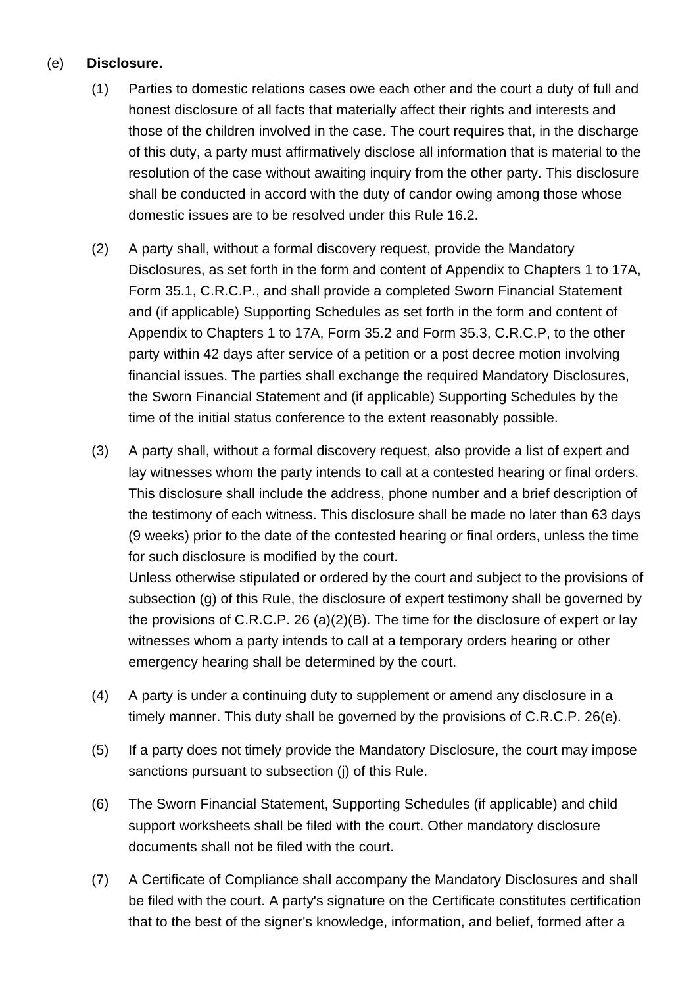### (e) **Disclosure.**

- (1) Parties to domestic relations cases owe each other and the court a duty of full and honest disclosure of all facts that materially affect their rights and interests and those of the children involved in the case. The court requires that, in the discharge of this duty, a party must affirmatively disclose all information that is material to the resolution of the case without awaiting inquiry from the other party. This disclosure shall be conducted in accord with the duty of candor owing among those whose domestic issues are to be resolved under this Rule 16.2.
- (2) A party shall, without a formal discovery request, provide the Mandatory Disclosures, as set forth in the form and content of Appendix to Chapters 1 to 17A, Form 35.1, C.R.C.P., and shall provide a completed Sworn Financial Statement and (if applicable) Supporting Schedules as set forth in the form and content of Appendix to Chapters 1 to 17A, Form 35.2 and Form 35.3, C.R.C.P, to the other party within 42 days after service of a petition or a post decree motion involving financial issues. The parties shall exchange the required Mandatory Disclosures, the Sworn Financial Statement and (if applicable) Supporting Schedules by the time of the initial status conference to the extent reasonably possible.
- (3) A party shall, without a formal discovery request, also provide a list of expert and lay witnesses whom the party intends to call at a contested hearing or final orders. This disclosure shall include the address, phone number and a brief description of the testimony of each witness. This disclosure shall be made no later than 63 days (9 weeks) prior to the date of the contested hearing or final orders, unless the time for such disclosure is modified by the court.

Unless otherwise stipulated or ordered by the court and subject to the provisions of subsection (g) of this Rule, the disclosure of expert testimony shall be governed by the provisions of C.R.C.P. 26 (a)(2)(B). The time for the disclosure of expert or lay witnesses whom a party intends to call at a temporary orders hearing or other emergency hearing shall be determined by the court.

- (4) A party is under a continuing duty to supplement or amend any disclosure in a timely manner. This duty shall be governed by the provisions of C.R.C.P. 26(e).
- (5) If a party does not timely provide the Mandatory Disclosure, the court may impose sanctions pursuant to subsection (j) of this Rule.
- (6) The Sworn Financial Statement, Supporting Schedules (if applicable) and child support worksheets shall be filed with the court. Other mandatory disclosure documents shall not be filed with the court.
- (7) A Certificate of Compliance shall accompany the Mandatory Disclosures and shall be filed with the court. A party's signature on the Certificate constitutes certification that to the best of the signer's knowledge, information, and belief, formed after a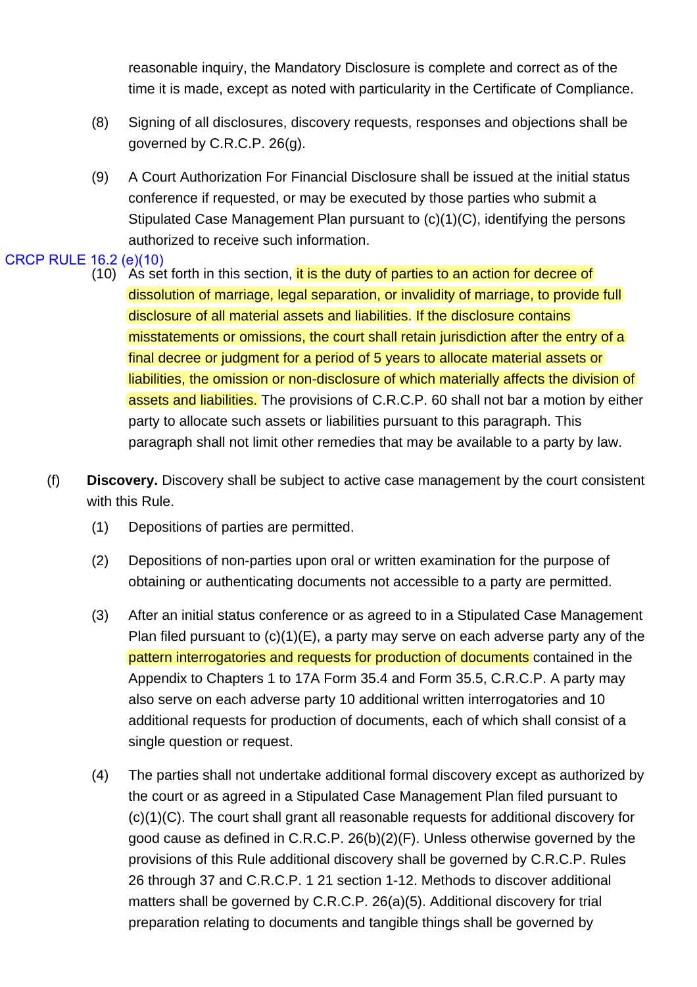reasonable inquiry, the Mandatory Disclosure is complete and correct as of the time it is made, except as noted with particularity in the Certificate of Compliance.

- (8) Signing of all disclosures, discovery requests, responses and objections shall be governed by C.R.C.P. 26(g).
- (9) A Court Authorization For Financial Disclosure shall be issued at the initial status conference if requested, or may be executed by those parties who submit a Stipulated Case Management Plan pursuant to (c)(1)(C), identifying the persons authorized to receive such information.

## CRCP RULE 16.2 (e)(10)

- $(10)$  As set forth in this section, it is the duty of parties to an action for decree of dissolution of marriage, legal separation, or invalidity of marriage, to provide full disclosure of all material assets and liabilities. If the disclosure contains misstatements or omissions, the court shall retain jurisdiction after the entry of a final decree or judgment for a period of 5 years to allocate material assets or liabilities, the omission or non-disclosure of which materially affects the division of assets and liabilities. The provisions of C.R.C.P. 60 shall not bar a motion by either party to allocate such assets or liabilities pursuant to this paragraph. This paragraph shall not limit other remedies that may be available to a party by law.
- (f) **Discovery.** Discovery shall be subject to active case management by the court consistent with this Rule.
	- (1) Depositions of parties are permitted.
	- (2) Depositions of non-parties upon oral or written examination for the purpose of obtaining or authenticating documents not accessible to a party are permitted.
	- (3) After an initial status conference or as agreed to in a Stipulated Case Management Plan filed pursuant to (c)(1)(E), a party may serve on each adverse party any of the pattern interrogatories and requests for production of documents contained in the Appendix to Chapters 1 to 17A Form 35.4 and Form 35.5, C.R.C.P. A party may also serve on each adverse party 10 additional written interrogatories and 10 additional requests for production of documents, each of which shall consist of a single question or request.
	- (4) The parties shall not undertake additional formal discovery except as authorized by the court or as agreed in a Stipulated Case Management Plan filed pursuant to (c)(1)(C). The court shall grant all reasonable requests for additional discovery for good cause as defined in C.R.C.P. 26(b)(2)(F). Unless otherwise governed by the provisions of this Rule additional discovery shall be governed by C.R.C.P. Rules 26 through 37 and C.R.C.P. 1 21 section 1-12. Methods to discover additional matters shall be governed by C.R.C.P. 26(a)(5). Additional discovery for trial preparation relating to documents and tangible things shall be governed by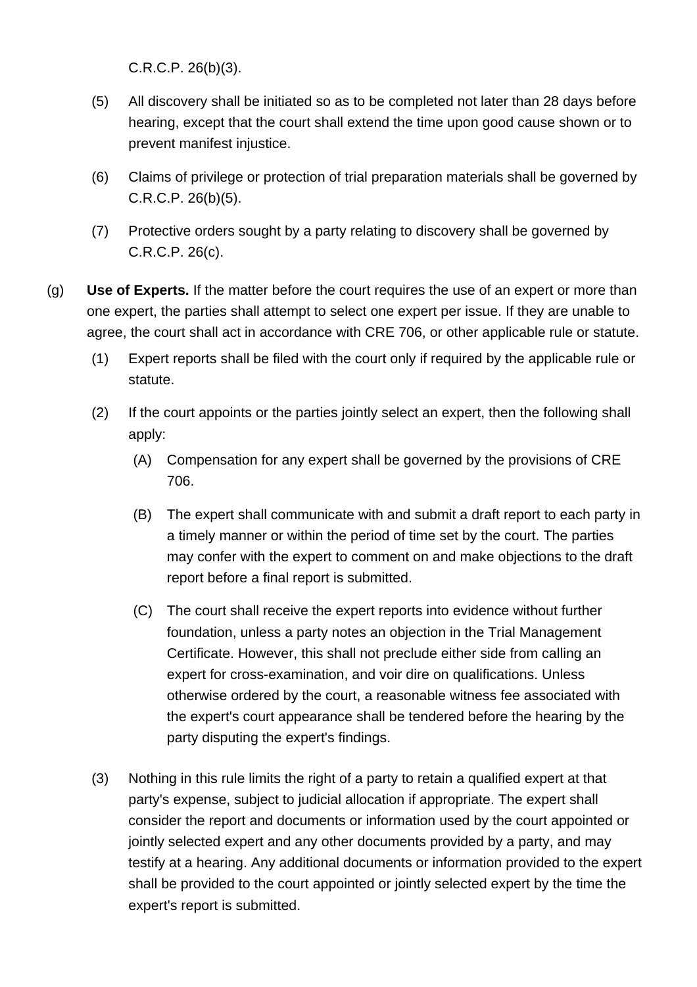C.R.C.P. 26(b)(3).

- (5) All discovery shall be initiated so as to be completed not later than 28 days before hearing, except that the court shall extend the time upon good cause shown or to prevent manifest injustice.
- (6) Claims of privilege or protection of trial preparation materials shall be governed by C.R.C.P. 26(b)(5).
- (7) Protective orders sought by a party relating to discovery shall be governed by C.R.C.P. 26(c).
- (g) **Use of Experts.** If the matter before the court requires the use of an expert or more than one expert, the parties shall attempt to select one expert per issue. If they are unable to agree, the court shall act in accordance with CRE 706, or other applicable rule or statute.
	- (1) Expert reports shall be filed with the court only if required by the applicable rule or statute.
	- (2) If the court appoints or the parties jointly select an expert, then the following shall apply:
		- (A) Compensation for any expert shall be governed by the provisions of CRE 706.
		- (B) The expert shall communicate with and submit a draft report to each party in a timely manner or within the period of time set by the court. The parties may confer with the expert to comment on and make objections to the draft report before a final report is submitted.
		- (C) The court shall receive the expert reports into evidence without further foundation, unless a party notes an objection in the Trial Management Certificate. However, this shall not preclude either side from calling an expert for cross-examination, and voir dire on qualifications. Unless otherwise ordered by the court, a reasonable witness fee associated with the expert's court appearance shall be tendered before the hearing by the party disputing the expert's findings.
	- (3) Nothing in this rule limits the right of a party to retain a qualified expert at that party's expense, subject to judicial allocation if appropriate. The expert shall consider the report and documents or information used by the court appointed or jointly selected expert and any other documents provided by a party, and may testify at a hearing. Any additional documents or information provided to the expert shall be provided to the court appointed or jointly selected expert by the time the expert's report is submitted.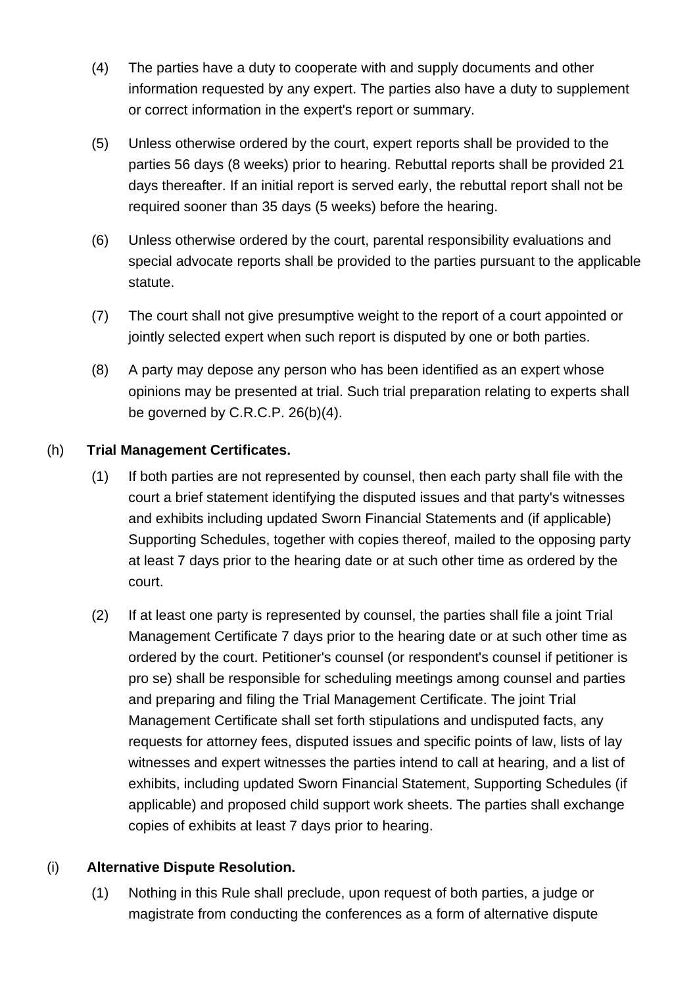- (4) The parties have a duty to cooperate with and supply documents and other information requested by any expert. The parties also have a duty to supplement or correct information in the expert's report or summary.
- (5) Unless otherwise ordered by the court, expert reports shall be provided to the parties 56 days (8 weeks) prior to hearing. Rebuttal reports shall be provided 21 days thereafter. If an initial report is served early, the rebuttal report shall not be required sooner than 35 days (5 weeks) before the hearing.
- (6) Unless otherwise ordered by the court, parental responsibility evaluations and special advocate reports shall be provided to the parties pursuant to the applicable statute.
- (7) The court shall not give presumptive weight to the report of a court appointed or jointly selected expert when such report is disputed by one or both parties.
- (8) A party may depose any person who has been identified as an expert whose opinions may be presented at trial. Such trial preparation relating to experts shall be governed by C.R.C.P. 26(b)(4).

## (h) **Trial Management Certificates.**

- (1) If both parties are not represented by counsel, then each party shall file with the court a brief statement identifying the disputed issues and that party's witnesses and exhibits including updated Sworn Financial Statements and (if applicable) Supporting Schedules, together with copies thereof, mailed to the opposing party at least 7 days prior to the hearing date or at such other time as ordered by the court.
- (2) If at least one party is represented by counsel, the parties shall file a joint Trial Management Certificate 7 days prior to the hearing date or at such other time as ordered by the court. Petitioner's counsel (or respondent's counsel if petitioner is pro se) shall be responsible for scheduling meetings among counsel and parties and preparing and filing the Trial Management Certificate. The joint Trial Management Certificate shall set forth stipulations and undisputed facts, any requests for attorney fees, disputed issues and specific points of law, lists of lay witnesses and expert witnesses the parties intend to call at hearing, and a list of exhibits, including updated Sworn Financial Statement, Supporting Schedules (if applicable) and proposed child support work sheets. The parties shall exchange copies of exhibits at least 7 days prior to hearing.

### (i) **Alternative Dispute Resolution.**

(1) Nothing in this Rule shall preclude, upon request of both parties, a judge or magistrate from conducting the conferences as a form of alternative dispute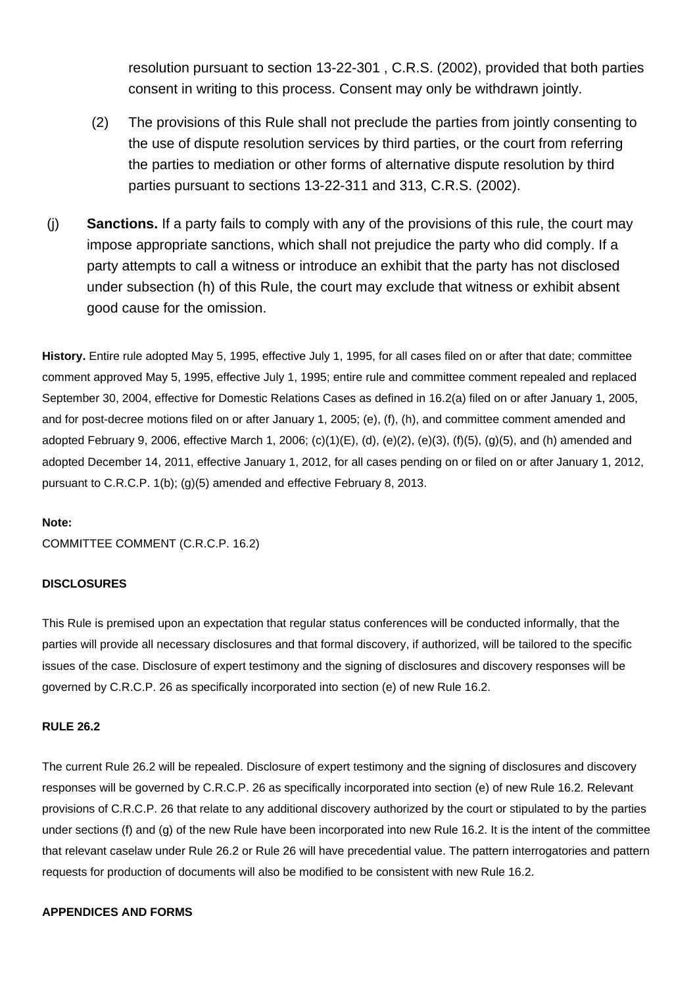resolution pursuant to section 13-22-301 , C.R.S. (2002), provided that both parties consent in writing to this process. Consent may only be withdrawn jointly.

- (2) The provisions of this Rule shall not preclude the parties from jointly consenting to the use of dispute resolution services by third parties, or the court from referring the parties to mediation or other forms of alternative dispute resolution by third parties pursuant to sections 13-22-311 and 313, C.R.S. (2002).
- (j) **Sanctions.** If a party fails to comply with any of the provisions of this rule, the court may impose appropriate sanctions, which shall not prejudice the party who did comply. If a party attempts to call a witness or introduce an exhibit that the party has not disclosed under subsection (h) of this Rule, the court may exclude that witness or exhibit absent good cause for the omission.

**History.** Entire rule adopted May 5, 1995, effective July 1, 1995, for all cases filed on or after that date; committee comment approved May 5, 1995, effective July 1, 1995; entire rule and committee comment repealed and replaced September 30, 2004, effective for Domestic Relations Cases as defined in 16.2(a) filed on or after January 1, 2005, and for post-decree motions filed on or after January 1, 2005; (e), (f), (h), and committee comment amended and adopted February 9, 2006, effective March 1, 2006; (c)(1)(E), (d), (e)(2), (e)(3), (f)(5), (g)(5), and (h) amended and adopted December 14, 2011, effective January 1, 2012, for all cases pending on or filed on or after January 1, 2012, pursuant to C.R.C.P. 1(b); (g)(5) amended and effective February 8, 2013.

#### **Note:**

COMMITTEE COMMENT (C.R.C.P. 16.2)

### **DISCLOSURES**

This Rule is premised upon an expectation that regular status conferences will be conducted informally, that the parties will provide all necessary disclosures and that formal discovery, if authorized, will be tailored to the specific issues of the case. Disclosure of expert testimony and the signing of disclosures and discovery responses will be governed by C.R.C.P. 26 as specifically incorporated into section (e) of new Rule 16.2.

#### **RULE 26.2**

The current Rule 26.2 will be repealed. Disclosure of expert testimony and the signing of disclosures and discovery responses will be governed by C.R.C.P. 26 as specifically incorporated into section (e) of new Rule 16.2. Relevant provisions of C.R.C.P. 26 that relate to any additional discovery authorized by the court or stipulated to by the parties under sections (f) and (g) of the new Rule have been incorporated into new Rule 16.2. It is the intent of the committee that relevant caselaw under Rule 26.2 or Rule 26 will have precedential value. The pattern interrogatories and pattern requests for production of documents will also be modified to be consistent with new Rule 16.2.

#### **APPENDICES AND FORMS**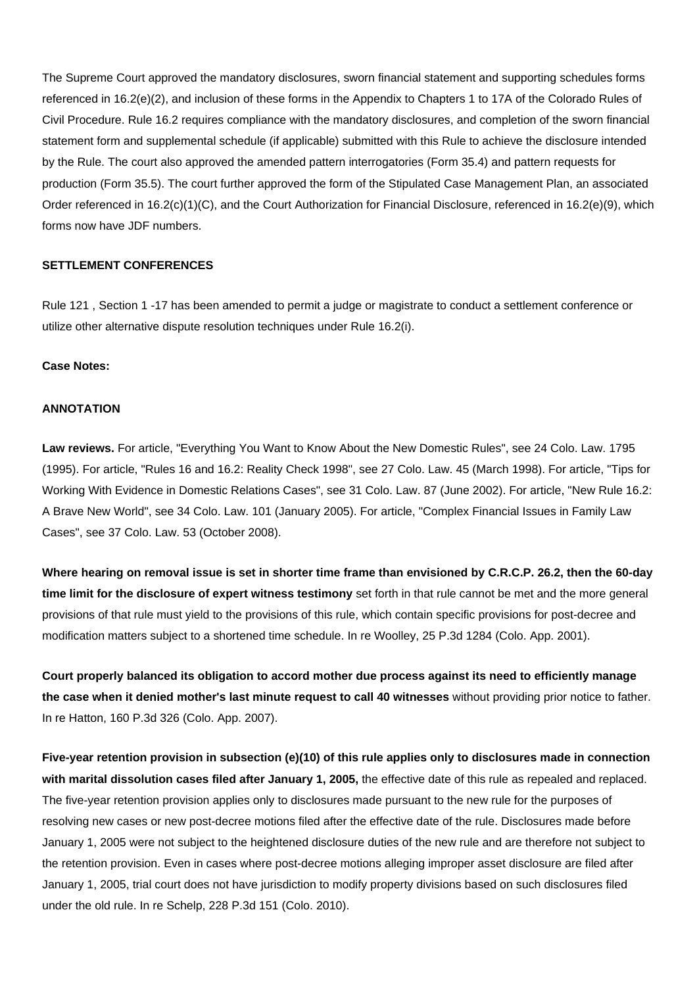The Supreme Court approved the mandatory disclosures, sworn financial statement and supporting schedules forms referenced in 16.2(e)(2), and inclusion of these forms in the Appendix to Chapters 1 to 17A of the Colorado Rules of Civil Procedure. Rule 16.2 requires compliance with the mandatory disclosures, and completion of the sworn financial statement form and supplemental schedule (if applicable) submitted with this Rule to achieve the disclosure intended by the Rule. The court also approved the amended pattern interrogatories (Form 35.4) and pattern requests for production (Form 35.5). The court further approved the form of the Stipulated Case Management Plan, an associated Order referenced in 16.2(c)(1)(C), and the Court Authorization for Financial Disclosure, referenced in 16.2(e)(9), which forms now have JDF numbers.

### **SETTLEMENT CONFERENCES**

Rule 121 , Section 1 -17 has been amended to permit a judge or magistrate to conduct a settlement conference or utilize other alternative dispute resolution techniques under Rule 16.2(i).

### **Case Notes:**

#### **ANNOTATION**

**Law reviews.** For article, "Everything You Want to Know About the New Domestic Rules", see 24 Colo. Law. 1795 (1995). For article, "Rules 16 and 16.2: Reality Check 1998", see 27 Colo. Law. 45 (March 1998). For article, "Tips for Working With Evidence in Domestic Relations Cases", see 31 Colo. Law. 87 (June 2002). For article, "New Rule 16.2: A Brave New World", see 34 Colo. Law. 101 (January 2005). For article, "Complex Financial Issues in Family Law Cases", see 37 Colo. Law. 53 (October 2008).

**Where hearing on removal issue is set in shorter time frame than envisioned by C.R.C.P. 26.2, then the 60-day time limit for the disclosure of expert witness testimony** set forth in that rule cannot be met and the more general provisions of that rule must yield to the provisions of this rule, which contain specific provisions for post-decree and modification matters subject to a shortened time schedule. In re Woolley, 25 P.3d 1284 (Colo. App. 2001).

**Court properly balanced its obligation to accord mother due process against its need to efficiently manage the case when it denied mother's last minute request to call 40 witnesses** without providing prior notice to father. In re Hatton, 160 P.3d 326 (Colo. App. 2007).

**Five-year retention provision in subsection (e)(10) of this rule applies only to disclosures made in connection with marital dissolution cases filed after January 1, 2005,** the effective date of this rule as repealed and replaced. The five-year retention provision applies only to disclosures made pursuant to the new rule for the purposes of resolving new cases or new post-decree motions filed after the effective date of the rule. Disclosures made before January 1, 2005 were not subject to the heightened disclosure duties of the new rule and are therefore not subject to the retention provision. Even in cases where post-decree motions alleging improper asset disclosure are filed after January 1, 2005, trial court does not have jurisdiction to modify property divisions based on such disclosures filed under the old rule. In re Schelp, 228 P.3d 151 (Colo. 2010).